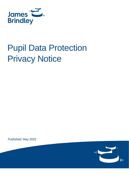

# Pupil Data Protection Privacy Notice

Published: May 2022

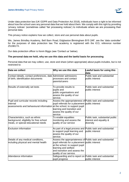

Under data protection law (UK GDPR and Data Protection Act 2018), individuals have a right to be informed about how the school uses any personal data that we hold about them. We comply with this right by providing 'privacy notices' (sometimes called 'fair processing notices') to individuals where we are processing their personal data.

This privacy notice explains how we collect, store and use personal data about pupils.

We, James Brindley Academy, Bell Barn Road, Edgbaston Birmingham B15 2AF, are the 'data controller' for the purposes of data protection law. The academy is registered with the ICO, reference number Z519817X.

Our data protection officer is Kevin Biggs (see 'Contact us' below).

#### **The personal data we hold, why we use this data and the lawful basis for processing**

Personal data that we may collect, use, store and share (when appropriate) about pupils includes, but is not restricted to:

| Data we collect                                                                                                               | Why we use this data                                                                                                                                                                                                                | Lawful basis for using this<br>data                                     |
|-------------------------------------------------------------------------------------------------------------------------------|-------------------------------------------------------------------------------------------------------------------------------------------------------------------------------------------------------------------------------------|-------------------------------------------------------------------------|
| Contact details, contact preferences, date Administer admissions<br>of birth, identification documents                        | processes and contact<br>parents/carers                                                                                                                                                                                             | Public task and substantial<br>public interest                          |
| Results of externally set tests                                                                                               | To provide results to<br>pupils and<br>public organisations and<br>assess the quality of our<br>service.                                                                                                                            | Public task and substantial<br>public interest                          |
| Pupil and curricular records including<br>internal<br>assessments and behavioural information at the school, to support pupil | Assess the appropriateness of Public task and substantial<br>pupil referrals for a placement public interest<br>learning and transition and<br>assess the quality of our<br>service.                                                |                                                                         |
| Characteristics, such as ethnic<br>background, eligibility for free school<br>meals, or special educational needs             | To enable equalities<br>monitoring and assess the<br>quality of our service                                                                                                                                                         | Public task, substantial public<br>interest and equality &<br>diversity |
| <b>Exclusion information</b>                                                                                                  | As part of a legal process and Public task and substantial<br>to support pupil learning and<br>assess the quality of our<br>service.                                                                                                | public interest                                                         |
| Details of any medical conditions,<br>including physical and mental health                                                    | Assess the appropriateness of Public task and substantial<br>pupil referrals for a placement public interest<br>at the school, to support pupil<br>learning and welfare<br>and transition and assess the<br>quality of our service. |                                                                         |
| Attendance information                                                                                                        | Safeguarding and to report on Public task and substantial<br>pupil progress                                                                                                                                                         | public interest                                                         |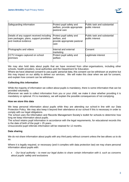

| Safeguarding information                                                                                     | Protect pupil safety and<br>welfare, provide appropriate<br>pastoral care        | Public task and substantial<br>public interest        |
|--------------------------------------------------------------------------------------------------------------|----------------------------------------------------------------------------------|-------------------------------------------------------|
| Details of any support received including<br>care packages, plans, support providers<br>and medical evidence | Protect pupil safety and<br>welfare, and<br>provide appropriate pastoral<br>care | Public task and substantial<br><b>public interest</b> |
| Photographs and videos                                                                                       | Internal and external<br>marketing                                               | Consent                                               |
| CCTV images captured on school<br>premises                                                                   | Protect pupil safety and<br>welfare                                              | Legitimate interest                                   |

We may also hold data about pupils that we have received from other organisations, including other schools, health providers, local authorities and the Department for Education.

Where we have obtained consent to use pupils' personal data, this consent can be withdrawn at anytime but this may impact on our ability to deliver our services. We will make this clear when we ask for consent, and explain how consent can be withdrawn.

## **Collecting this information**

While the majority of information we collect about pupils is mandatory, there is some information that can be provided voluntarily.

Whenever we seek to collect information from you or your child, we make it clear whether providing it is mandatory or optional. If it is mandatory, we will explain the possible consequences of not complying.

#### **How we store this data**

We keep personal information about pupils while they are attending our school in line with our Data Protection Policy. We may also keep it beyond their attendance at our school if this is necessary in order to comply with our legal obligations.

The school uses the [Information and Records Management Society's toolkit for schools](http://irms.org.uk/?page=schoolstoolkit&terms=%22toolkit+and+schools%22) to determine how long we keep information about pupils.

The school retains pupil information in accordance with the legal requirements, for educational records this is the date of birth of the pupil  $+25$  years.

Unsuccessful pupil referrals information will be retained for 12 months.

#### **Data sharing**

We do not share information about pupils with any third party without consent unless the law allows us to do so.

Where it is legally required, or necessary (and it complies with data protection law) we may share personal information about pupils with:

• *Our local authority – to meet our legal duties to share certain information with it, such as concerns about pupils' safety and exclusions*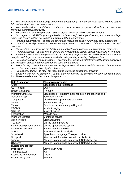

• *The Department for Education (a government department) – to meet our legal duties to share certain information with it, such as census returns*

• *Your family and representatives – so they are aware of your progress and wellbeing in school, as they have parental responsibility*

• *Educators and examining bodies – so that pupils can access their educational rights*

• *Our regulator, OFSTED, (the organisation or "watchdog" that supervises us), - to meet our legal duties and ensure that we are complying with regulation requirements*

• *Financial organisations – so that the school can receive the correct funding for pupil placements*

• *Central and local government – to meet our legal duties to provide certain information, such as pupil outcomes*

- *Our auditors – to ensure we are fulfilling our legal obligations associated with financial regulations*
- *Health authorities – so that we can ensure the wellbeing and correct educational provision for pupils*

• *Health and social welfare organisations – to provide appropriate support and ensure that the school complies with legal requirements associated with safeguarding including child protection*

• *Professional advisers and consultants – to ensure that the school effectively quality assures provision and to support school improvements for the benefit of the pupils*

• *Police forces, courts, tribunals – to meet our legal duties to share certain information in circumstances such as the detection and investigation of a crime*

• *Professional bodies – to meet our legal duties to provide educational provision*

• *Suppliers and service providers – so that they can provide the services we have contracted them* 

*for. These providers then become a data processor.*

| <b>Data Processor</b>        | The service provided                                      |
|------------------------------|-----------------------------------------------------------|
| Arbor                        | Cloud based pupil database                                |
| <b>ADT Reseller</b>          | <b>CCTV</b>                                               |
| <b>BitNet Solutions</b>      | <b>IT</b> support                                         |
| Microsoft Office 365 -       | Cloud based IT platform that enables on-line teaching and |
| including Adapt              | document storage                                          |
| Compass +                    | Cloud based pupil careers database                        |
| Senso                        | Internet monitoring                                       |
| Thrive                       | Emotional development profiling tool                      |
| <b>CPOMS</b>                 | Incident logging                                          |
| <b>SIRENS</b>                | Incident logging                                          |
| le4education                 | Website host                                              |
| Michael's Mentors            | Mentoring service                                         |
| Open Theatre                 | Drama teaching                                            |
| <b>TLC Live</b>              | On-line tutoring service                                  |
| School cloud parents evening | On-line appointments system                               |
| <b>Schools Broadband</b>     | Internet Service Provider                                 |
| <b>SISRA</b>                 | Educational results analysis                              |
| Soundswell                   | Speech and Language Therapy provider                      |
| Groupcall                    | Attendance information to the Local Authority             |
| Aspen's                      | Allergen information to comply with Natasha's Law         |
| Cityserve                    | Allergen information to comply with Natasha's Law         |
| <b>Curriculum delivery</b>   |                                                           |
| <b>Processor</b>             | <b>Curriculum Area</b>                                    |
| Turinglab.co.uk              | <b>ICT</b>                                                |
| Soundtrap for education      | <b>Music</b>                                              |
| Educationcity.com            | Primary                                                   |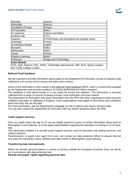

| Educake                                                                          | Science                                                |  |
|----------------------------------------------------------------------------------|--------------------------------------------------------|--|
| Kerboodle                                                                        | Science                                                |  |
| <b>Activelearn Primary</b>                                                       | Primary                                                |  |
| DrFrostmaths                                                                     | Maths                                                  |  |
| <b>GL</b> assessor                                                               | Science and Maths                                      |  |
| Evidence Me                                                                      | EYFS                                                   |  |
| Tapestry                                                                         | <b>EYFS/Primary and throughout the hospital sector</b> |  |
| Charanga                                                                         | Primary                                                |  |
| <b>Accelerated Reader</b>                                                        | English                                                |  |
| <b>Mymaths</b>                                                                   | <b>Maths</b>                                           |  |
| Mathswatch                                                                       | Maths                                                  |  |
| Twinkl                                                                           | Primary                                                |  |
| <b>Pinpoint Learning</b>                                                         | <b>Maths</b>                                           |  |
| Tinkercad                                                                        | Design and Technology                                  |  |
| <b>Exam Boards</b>                                                               |                                                        |  |
| OCR, AQA, Edexcel, RSL, WJEC, Cambridge International, LIBF, BCS, Sports Leaders |                                                        |  |
| and Trinity College London.                                                      |                                                        |  |

## **National Pupil Database**

We are required to provide information about pupils to the Department for Education as part of statutory data collections such as the school census and early years census.

Some of this information is then stored in the [National Pupil Database](https://www.gov.uk/government/publications/national-pupil-database-user-guide-and-supporting-information) (NPD), which is owned and managed by the Department and provides evidence on school performance to inform research.

The database is held electronically so it can easily be turned into statistics. The information is securely collected from a range of sources including schools, local authorities and exam boards.

The Department for Education may share information from the NPD with other organisations which promote children's education or wellbeing in England. Such organisations must agree to strict terms and conditions about how they will use the data.

For more information, see the Department's webpage on [how it collects and shares research data.](https://www.gov.uk/data-protection-how-we-collect-and-share-research-data)

You can also [contact the Department for Education](https://www.gov.uk/contact-dfe) with any further questions about the NPD.

## **Youth support services**

Once our pupils reach the age of 13, we are legally required to pass on certain information about them to Birmingham Local Authority, as it has legal responsibilities regarding the education or training of 13-19 yearolds.

This information enables it to provide youth support services, post-16 education and training services, and careers advisers.

Parents/carers, or pupils once aged 16 or over, can contact our data protection officer to request that we only pass the individual's name, address and date of birth to Birmingham Local Authority.

## **Transferring data internationally**

Where we transfer personal data to a country or territory outside the European Economic Area, we will do so in accordance with data protection law.

**Parents and pupils' rights regarding personal data**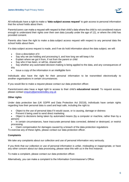

All individuals have a right to make a **'data subject access request'** to gain access to personal information that the school holds about them.

Parents/carers can make a request with respect to their child's data where the child is not considered mature enough to understand their rights over their own data (usually under the age of 12), or where the child has provided consent.

Parents also have the right to make a data subject access request with respect to any personal data the school holds about them.

If a data subject access request is made, and if we do hold information about the data subject, we will:

- Give a description of it
- Say why we are holding and processing it, and how long we will keep it for
- Explain where we got it from, if not from the parent or child
- Say who it has been, or will be, shared with
- Say whether any automated decision-making is being applied to the data, and any consequences of this
- Issue a copy of the information in an intelligible form

Individuals also have the right for their personal information to be transmitted electronically to another organisations in certain circumstances.

If you would like to make a request please contact our data protection officer.

Parents/carers also have a legal right to access to their child's **educational record**. To request access, please contact [enquiry@jamesbrindley.org.uk](mailto:enquiry@jamesbrindley.bham.sch.uk)

#### **Other rights**

Under data protection law (UK GDPR and Data Protection Act 20218), individuals have certain rights regarding how their personal data is used and kept safe, including the right to:

- Object to the use of personal data if it would cause, or is causing, damage or distress
- Prevent it being used to send direct marketing
- Object to decisions being taken by automated means (by a computer or machine, rather than by a person)
- In certain circumstances, have inaccurate personal data corrected, deleted or destroyed, or restrict processing
- Claim compensation for damages caused by a breach of the data protection regulations

To exercise any of these rights, please contact our data protection officer.

#### **Complaints**

We take any complaints about our collection and use of personal information very seriously.

If you think that our collection or use of personal information is unfair, misleading or inappropriate, or have any other concern about our data processing, please raise this with us in the first instance.

To make a complaint, please contact our data protection officer.

Alternatively, you can make a complaint to the Information Commissioner's Office: